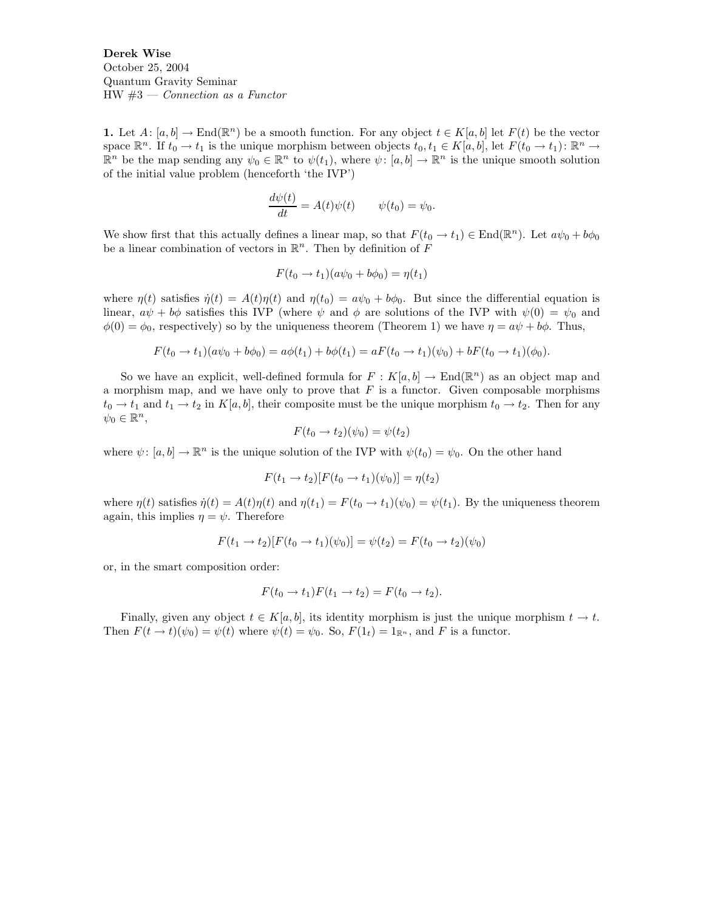Derek Wise October 25, 2004 Quantum Gravity Seminar  $HW \#3$  — Connection as a Functor

1. Let  $A: [a, b] \to \text{End}(\mathbb{R}^n)$  be a smooth function. For any object  $t \in K[a, b]$  let  $F(t)$  be the vector space  $\mathbb{R}^n$ . If  $t_0 \to t_1$  is the unique morphism between objects  $t_0, t_1 \in K[a, b]$ , let  $F(t_0 \to t_1)$ :  $\mathbb{R}^n \to$  $\mathbb{R}^n$  be the map sending any  $\psi_0 \in \mathbb{R}^n$  to  $\psi(t_1)$ , where  $\psi: [a, b] \to \mathbb{R}^n$  is the unique smooth solution of the initial value problem (henceforth 'the IVP')

$$
\frac{d\psi(t)}{dt} = A(t)\psi(t) \qquad \psi(t_0) = \psi_0.
$$

We show first that this actually defines a linear map, so that  $F(t_0 \to t_1) \in \text{End}(\mathbb{R}^n)$ . Let  $a\psi_0 + b\phi_0$ be a linear combination of vectors in  $\mathbb{R}^n$ . Then by definition of F

$$
F(t_0 \to t_1)(a\psi_0 + b\phi_0) = \eta(t_1)
$$

where  $\eta(t)$  satisfies  $\dot{\eta}(t) = A(t)\eta(t)$  and  $\eta(t_0) = a\psi_0 + b\phi_0$ . But since the differential equation is linear,  $a\psi + b\phi$  satisfies this IVP (where  $\psi$  and  $\phi$  are solutions of the IVP with  $\psi(0) = \psi_0$  and  $\phi(0) = \phi_0$ , respectively) so by the uniqueness theorem (Theorem 1) we have  $\eta = a\psi + b\phi$ . Thus,

$$
F(t_0 \to t_1)(a\psi_0 + b\phi_0) = a\phi(t_1) + b\phi(t_1) = aF(t_0 \to t_1)(\psi_0) + bF(t_0 \to t_1)(\phi_0).
$$

So we have an explicit, well-defined formula for  $F: K[a, b] \to \text{End}(\mathbb{R}^n)$  as an object map and a morphism map, and we have only to prove that  $F$  is a functor. Given composable morphisms  $t_0 \to t_1$  and  $t_1 \to t_2$  in  $K[a, b]$ , their composite must be the unique morphism  $t_0 \to t_2$ . Then for any  $\psi_0 \in \mathbb{R}^n$ ,

$$
F(t_0 \to t_2)(\psi_0) = \psi(t_2)
$$

where  $\psi: [a, b] \to \mathbb{R}^n$  is the unique solution of the IVP with  $\psi(t_0) = \psi_0$ . On the other hand

$$
F(t_1 \to t_2)[F(t_0 \to t_1)(\psi_0)] = \eta(t_2)
$$

where  $\eta(t)$  satisfies  $\dot{\eta}(t) = A(t)\eta(t)$  and  $\eta(t_1) = F(t_0 \rightarrow t_1)(\psi_0) = \psi(t_1)$ . By the uniqueness theorem again, this implies  $\eta = \psi$ . Therefore

$$
F(t_1 \to t_2)[F(t_0 \to t_1)(\psi_0)] = \psi(t_2) = F(t_0 \to t_2)(\psi_0)
$$

or, in the smart composition order:

$$
F(t_0 \to t_1)F(t_1 \to t_2) = F(t_0 \to t_2).
$$

Finally, given any object  $t \in K[a, b]$ , its identity morphism is just the unique morphism  $t \to t$ . Then  $F(t \to t)(\psi_0) = \psi(t)$  where  $\psi(t) = \psi_0$ . So,  $F(1_t) = 1_{\mathbb{R}^n}$ , and F is a functor.